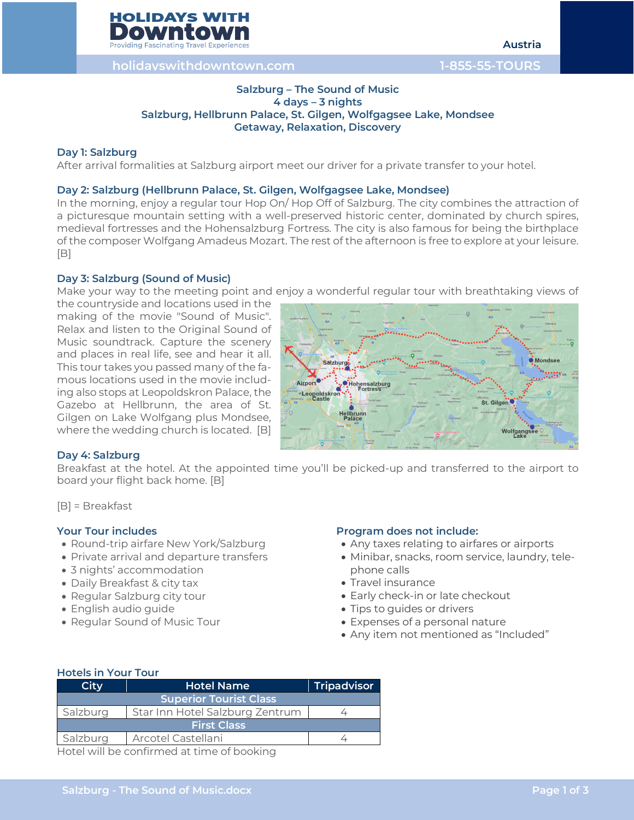

# **Salzburg – The Sound of Music 4 days – 3 nights Salzburg, Hellbrunn Palace, St. Gilgen, Wolfgagsee Lake, Mondsee Getaway, Relaxation, Discovery**

# **Day 1: Salzburg**

After arrival formalities at Salzburg airport meet our driver for a private transfer to your hotel.

# **Day 2: Salzburg (Hellbrunn Palace, St. Gilgen, Wolfgagsee Lake, Mondsee)**

In the morning, enjoy a regular tour Hop On/ Hop Off of Salzburg. The city combines the attraction of a picturesque mountain setting with a well-preserved historic center, dominated by church spires, medieval fortresses and the Hohensalzburg Fortress. The city is also famous for being the birthplace of the composer Wolfgang Amadeus Mozart. The rest of the afternoon is free to explore at your leisure. [B]

# **Day 3: Salzburg (Sound of Music)**

Make your way to the meeting point and enjoy a wonderful regular tour with breathtaking views of

the countryside and locations used in the making of the movie "Sound of Music". Relax and listen to the Original Sound of Music soundtrack. Capture the scenery and places in real life, see and hear it all. This tour takes you passed many of the famous locations used in the movie including also stops at Leopoldskron Palace, the Gazebo at Hellbrunn, the area of St. Gilgen on Lake Wolfgang plus Mondsee, where the wedding church is located. [B]



# **Day 4: Salzburg**

Breakfast at the hotel. At the appointed time you'll be picked-up and transferred to the airport to board your flight back home. [B]

[B] = Breakfast

# **Your Tour includes**

- Round-trip airfare New York/Salzburg
- Private arrival and departure transfers
- 3 nights' accommodation
- Daily Breakfast & city tax
- Regular Salzburg city tour
- English audio guide
- Regular Sound of Music Tour

### **Program does not include:**

- Any taxes relating to airfares or airports
- Minibar, snacks, room service, laundry, telephone calls
- Travel insurance
- Early check-in or late checkout
- Tips to guides or drivers
- Expenses of a personal nature
- Any item not mentioned as "Included"

# **Hotels in Your Tour**

| <b>Hotel Name</b>               | Tripadvisor |  |  |
|---------------------------------|-------------|--|--|
| <b>Superior Tourist Class</b>   |             |  |  |
| Star Inn Hotel Salzburg Zentrum |             |  |  |
| <b>First Class</b>              |             |  |  |
| Arcotel Castellani              |             |  |  |
|                                 |             |  |  |

Hotel will be confirmed at time of booking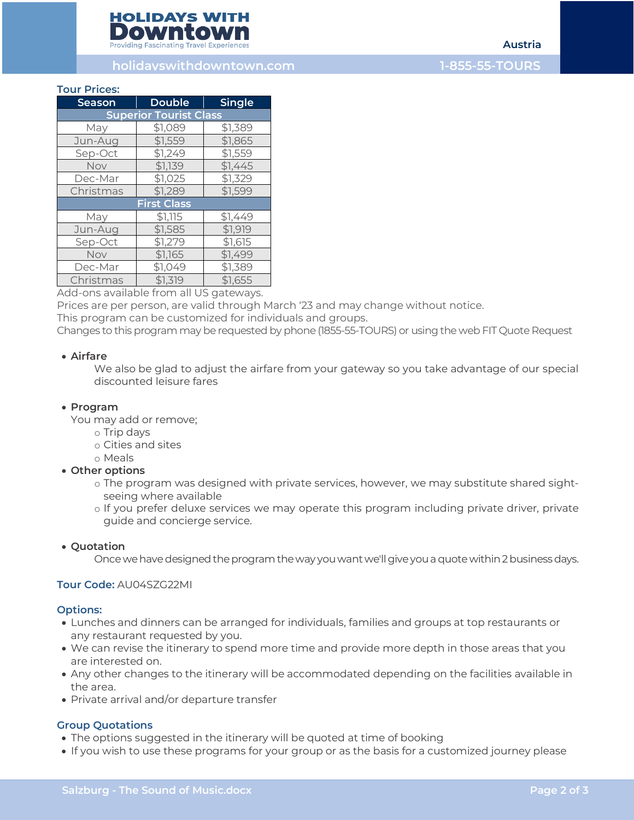**holidayswithdowntown.com 1-855-55-TOURS**

**Austria**

#### **Tour Prices:**

| Season                        | <b>Double</b> | <b>Single</b> |  |
|-------------------------------|---------------|---------------|--|
| <b>Superior Tourist Class</b> |               |               |  |
| May                           | \$1,089       | \$1,389       |  |
| Jun-Aug                       | \$1,559       | \$1,865       |  |
| Sep-Oct                       | \$1,249       | \$1,559       |  |
| Nov                           | \$1,139       | \$1,445       |  |
| Dec-Mar                       | \$1,025       | \$1,329       |  |
| Christmas                     | \$1,289       | \$1,599       |  |
| <b>First Class</b>            |               |               |  |
| May                           | \$1,115       | \$1,449       |  |
| Jun-Aug                       | \$1,585       | \$1,919       |  |
| Sep-Oct                       | \$1,279       | \$1,615       |  |
| Nov                           | \$1,165       | \$1,499       |  |
| Dec-Mar                       | \$1,049       | \$1,389       |  |
| Christmas                     | \$1,319       | \$1,655       |  |

Add-ons available from all US gateways.

Prices are per person, are valid through March '23 and may change without notice.

This program can be customized for individuals and groups.

Changes to this program may be requested by phone (1855-55-TOURS) or using the web FIT Quote Request

# • **Airfare**

We also be glad to adjust the airfare from your gateway so you take advantage of our special discounted leisure fares

#### • **Program**

You may add or remove;

- o Trip days
- o Cities and sites
- o Meals
- **Other options**
	- o The program was designed with private services, however, we may substitute shared sightseeing where available
	- o If you prefer deluxe services we may operate this program including private driver, private guide and concierge service.

# • **Quotation**

Once we have designed the program the way you want we'll give you a quote within 2 business days.

### **Tour Code:** AU04SZG22MI

### **Options:**

- Lunches and dinners can be arranged for individuals, families and groups at top restaurants or any restaurant requested by you.
- We can revise the itinerary to spend more time and provide more depth in those areas that you are interested on.
- Any other changes to the itinerary will be accommodated depending on the facilities available in the area.
- Private arrival and/or departure transfer

### **Group Quotations**

- The options suggested in the itinerary will be quoted at time of booking
- If you wish to use these programs for your group or as the basis for a customized journey please